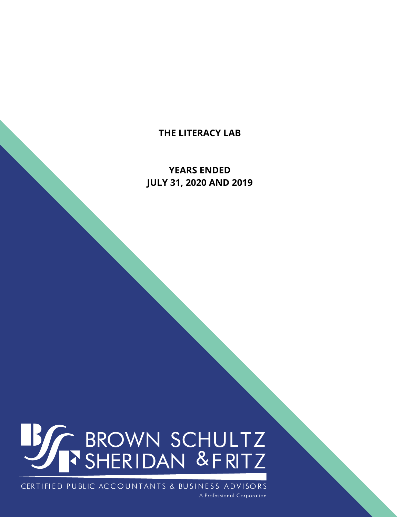**YEARS ENDED JULY 31, 2020 AND 2019**

# **BEAT BROWN SCHULTZ**

CERTIFIED PUBLIC ACCOUNTANTS & BUSINESS ADVISORS A Professional Corporation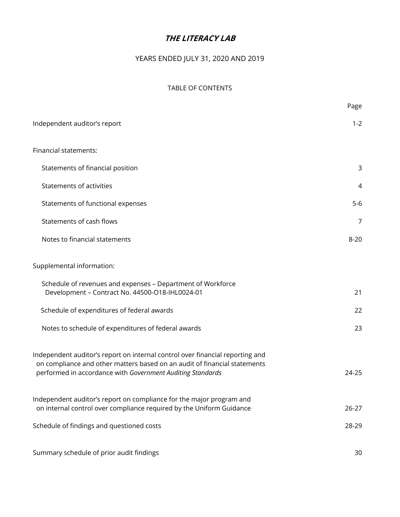# YEARS ENDED JULY 31, 2020 AND 2019

## TABLE OF CONTENTS

|                                                                                                                                                                                                                          | Page      |
|--------------------------------------------------------------------------------------------------------------------------------------------------------------------------------------------------------------------------|-----------|
| Independent auditor's report                                                                                                                                                                                             | $1 - 2$   |
| Financial statements:                                                                                                                                                                                                    |           |
| Statements of financial position                                                                                                                                                                                         | 3         |
| Statements of activities                                                                                                                                                                                                 | 4         |
| Statements of functional expenses                                                                                                                                                                                        | $5-6$     |
| Statements of cash flows                                                                                                                                                                                                 | 7         |
| Notes to financial statements                                                                                                                                                                                            | $8 - 20$  |
| Supplemental information:                                                                                                                                                                                                |           |
| Schedule of revenues and expenses - Department of Workforce<br>Development - Contract No. 44500-O18-IHL0024-01                                                                                                           | 21        |
| Schedule of expenditures of federal awards                                                                                                                                                                               | 22        |
| Notes to schedule of expenditures of federal awards                                                                                                                                                                      | 23        |
| Independent auditor's report on internal control over financial reporting and<br>on compliance and other matters based on an audit of financial statements<br>performed in accordance with Government Auditing Standards | 24-25     |
| Independent auditor's report on compliance for the major program and<br>on internal control over compliance required by the Uniform Guidance                                                                             | $26 - 27$ |
| Schedule of findings and questioned costs                                                                                                                                                                                | 28-29     |
| Summary schedule of prior audit findings                                                                                                                                                                                 | 30        |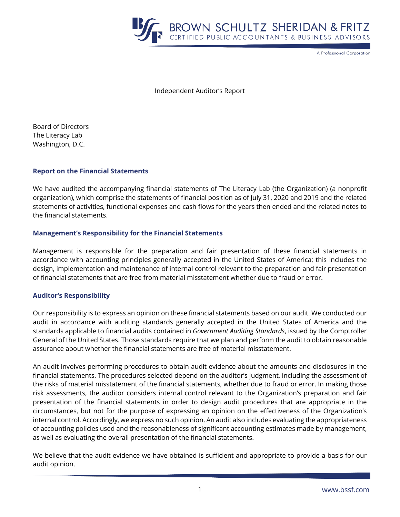

A Professional Corporation

Independent Auditor's Report

Board of Directors The Literacy Lab Washington, D.C.

#### **Report on the Financial Statements**

We have audited the accompanying financial statements of The Literacy Lab (the Organization) (a nonprofit organization), which comprise the statements of financial position as of July 31, 2020 and 2019 and the related statements of activities, functional expenses and cash flows for the years then ended and the related notes to the financial statements.

## **Management's Responsibility for the Financial Statements**

Management is responsible for the preparation and fair presentation of these financial statements in accordance with accounting principles generally accepted in the United States of America; this includes the design, implementation and maintenance of internal control relevant to the preparation and fair presentation of financial statements that are free from material misstatement whether due to fraud or error.

#### **Auditor's Responsibility**

Our responsibility is to express an opinion on these financial statements based on our audit. We conducted our audit in accordance with auditing standards generally accepted in the United States of America and the standards applicable to financial audits contained in *Government Auditing Standards*, issued by the Comptroller General of the United States. Those standards require that we plan and perform the audit to obtain reasonable assurance about whether the financial statements are free of material misstatement.

An audit involves performing procedures to obtain audit evidence about the amounts and disclosures in the financial statements. The procedures selected depend on the auditor's judgment, including the assessment of the risks of material misstatement of the financial statements, whether due to fraud or error. In making those risk assessments, the auditor considers internal control relevant to the Organization's preparation and fair presentation of the financial statements in order to design audit procedures that are appropriate in the circumstances, but not for the purpose of expressing an opinion on the effectiveness of the Organization's internal control. Accordingly, we express no such opinion. An audit also includes evaluating the appropriateness of accounting policies used and the reasonableness of significant accounting estimates made by management, as well as evaluating the overall presentation of the financial statements.

We believe that the audit evidence we have obtained is sufficient and appropriate to provide a basis for our audit opinion.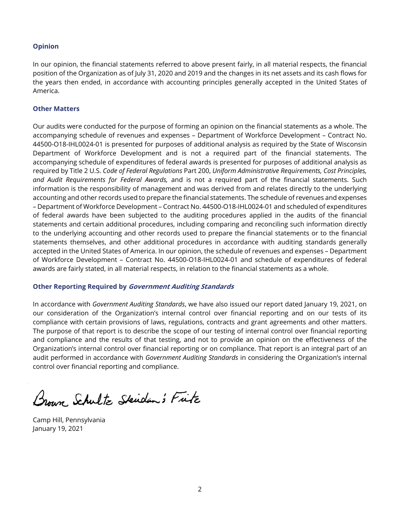## **Opinion**

In our opinion, the financial statements referred to above present fairly, in all material respects, the financial position of the Organization as of July 31, 2020 and 2019 and the changes in its net assets and its cash flows for the years then ended, in accordance with accounting principles generally accepted in the United States of America.

#### **Other Matters**

Our audits were conducted for the purpose of forming an opinion on the financial statements as a whole. The accompanying schedule of revenues and expenses – Department of Workforce Development – Contract No. 44500-O18-IHL0024-01 is presented for purposes of additional analysis as required by the State of Wisconsin Department of Workforce Development and is not a required part of the financial statements. The accompanying schedule of expenditures of federal awards is presented for purposes of additional analysis as required by Title 2 U.S. *Code of Federal Regulations* Part 200, *Uniform Administrative Requirements, Cost Principles, and Audit Requirements for Federal Awards,* and is not a required part of the financial statements. Such information is the responsibility of management and was derived from and relates directly to the underlying accounting and other records used to prepare the financial statements. The schedule of revenues and expenses – Department of Workforce Development – Contract No. 44500-O18-IHL0024-01 and scheduled of expenditures of federal awards have been subjected to the auditing procedures applied in the audits of the financial statements and certain additional procedures, including comparing and reconciling such information directly to the underlying accounting and other records used to prepare the financial statements or to the financial statements themselves, and other additional procedures in accordance with auditing standards generally accepted in the United States of America. In our opinion, the schedule of revenues and expenses – Department of Workforce Development – Contract No. 44500-O18-IHL0024-01 and schedule of expenditures of federal awards are fairly stated, in all material respects, in relation to the financial statements as a whole.

## **Other Reporting Required by Government Auditing Standards**

In accordance with *Government Auditing Standards*, we have also issued our report dated January 19, 2021, on our consideration of the Organization's internal control over financial reporting and on our tests of its compliance with certain provisions of laws, regulations, contracts and grant agreements and other matters. The purpose of that report is to describe the scope of our testing of internal control over financial reporting and compliance and the results of that testing, and not to provide an opinion on the effectiveness of the Organization's internal control over financial reporting or on compliance. That report is an integral part of an audit performed in accordance with *Government Auditing Standards* in considering the Organization's internal control over financial reporting and compliance.

Brown Schultz Skidan's Fitz

Camp Hill, Pennsylvania January 19, 2021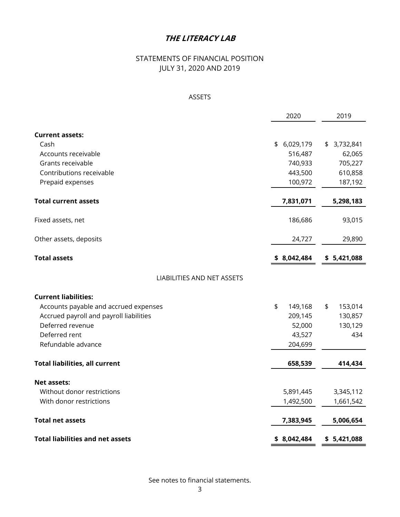# STATEMENTS OF FINANCIAL POSITION JULY 31, 2020 AND 2019

## ASSETS

|                                          | 2020               | 2019              |
|------------------------------------------|--------------------|-------------------|
|                                          |                    |                   |
| <b>Current assets:</b>                   |                    |                   |
| Cash                                     | 6,029,179<br>\$    | \$3,732,841       |
| Accounts receivable<br>Grants receivable | 516,487<br>740,933 | 62,065<br>705,227 |
| Contributions receivable                 | 443,500            | 610,858           |
| Prepaid expenses                         | 100,972            | 187,192           |
| <b>Total current assets</b>              | 7,831,071          | 5,298,183         |
| Fixed assets, net                        | 186,686            | 93,015            |
| Other assets, deposits                   | 24,727             | 29,890            |
| <b>Total assets</b>                      | \$8,042,484        | \$5,421,088       |
| LIABILITIES AND NET ASSETS               |                    |                   |
| <b>Current liabilities:</b>              |                    |                   |
| Accounts payable and accrued expenses    | \$<br>149,168      | \$<br>153,014     |
| Accrued payroll and payroll liabilities  | 209,145            | 130,857           |
| Deferred revenue                         | 52,000             | 130,129           |
| Deferred rent                            | 43,527             | 434               |
| Refundable advance                       | 204,699            |                   |
| <b>Total liabilities, all current</b>    | 658,539            | 414,434           |
| <b>Net assets:</b>                       |                    |                   |
| Without donor restrictions               | 5,891,445          | 3,345,112         |
| With donor restrictions                  | 1,492,500          | 1,661,542         |
| <b>Total net assets</b>                  | 7,383,945          | 5,006,654         |
| <b>Total liabilities and net assets</b>  | \$8,042,484        | \$5,421,088       |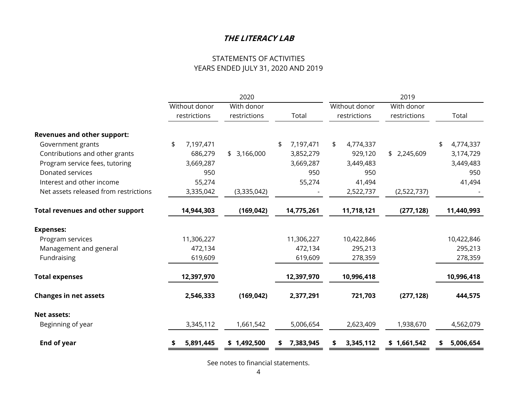## STATEMENTS OF ACTIVITIES YEARS ENDED JULY 31, 2020 AND 2019

|                                         |                 | 2020         |                 |                 | 2019         |                 |
|-----------------------------------------|-----------------|--------------|-----------------|-----------------|--------------|-----------------|
|                                         | Without donor   | With donor   |                 | Without donor   | With donor   |                 |
|                                         | restrictions    | restrictions | Total           | restrictions    | restrictions | Total           |
| <b>Revenues and other support:</b>      |                 |              |                 |                 |              |                 |
| Government grants                       | \$<br>7,197,471 |              | 7,197,471<br>\$ | 4,774,337<br>\$ |              | 4,774,337<br>\$ |
| Contributions and other grants          | 686,279         | \$3,166,000  | 3,852,279       | 929,120         | \$2,245,609  | 3,174,729       |
| Program service fees, tutoring          | 3,669,287       |              | 3,669,287       | 3,449,483       |              | 3,449,483       |
| Donated services                        | 950             |              | 950             | 950             |              | 950             |
| Interest and other income               | 55,274          |              | 55,274          | 41,494          |              | 41,494          |
| Net assets released from restrictions   | 3,335,042       | (3,335,042)  |                 | 2,522,737       | (2,522,737)  |                 |
| <b>Total revenues and other support</b> | 14,944,303      | (169, 042)   | 14,775,261      | 11,718,121      | (277, 128)   | 11,440,993      |
| <b>Expenses:</b>                        |                 |              |                 |                 |              |                 |
| Program services                        | 11,306,227      |              | 11,306,227      | 10,422,846      |              | 10,422,846      |
| Management and general                  | 472,134         |              | 472,134         | 295,213         |              | 295,213         |
| Fundraising                             | 619,609         |              | 619,609         | 278,359         |              | 278,359         |
| <b>Total expenses</b>                   | 12,397,970      |              | 12,397,970      | 10,996,418      |              | 10,996,418      |
| <b>Changes in net assets</b>            | 2,546,333       | (169, 042)   | 2,377,291       | 721,703         | (277, 128)   | 444,575         |
| <b>Net assets:</b>                      |                 |              |                 |                 |              |                 |
| Beginning of year                       | 3,345,112       | 1,661,542    | 5,006,654       | 2,623,409       | 1,938,670    | 4,562,079       |
| End of year                             | 5,891,445<br>\$ | \$1,492,500  | 7,383,945<br>S. | 3,345,112<br>S  | \$1,661,542  | 5,006,654       |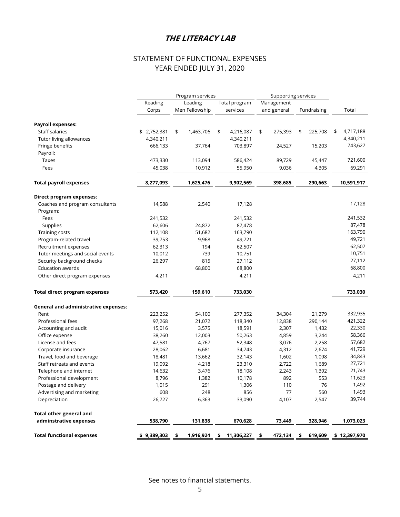## STATEMENT OF FUNCTIONAL EXPENSES YEAR ENDED JULY 31, 2020

|                                             |             | Program services |                  | Supporting services |               |                 |
|---------------------------------------------|-------------|------------------|------------------|---------------------|---------------|-----------------|
|                                             | Reading     | Leading          | Total program    | Management          |               |                 |
|                                             | Corps       | Men Fellowship   | services         | and general         | Fundraising   | Total           |
| <b>Payroll expenses:</b>                    |             |                  |                  |                     |               |                 |
| Staff salaries                              | \$2,752,381 | 1,463,706<br>\$  | 4,216,087<br>\$  | 275,393<br>\$       | 225,708<br>\$ | 4,717,188<br>\$ |
| Tutor living allowances                     | 4,340,211   |                  | 4,340,211        |                     |               | 4,340,211       |
| Fringe benefits                             | 666,133     | 37,764           | 703,897          | 24,527              | 15,203        | 743,627         |
| Payroll:                                    |             |                  |                  |                     |               |                 |
| Taxes                                       | 473,330     | 113,094          | 586,424          | 89,729              | 45,447        | 721,600         |
| Fees                                        | 45,038      | 10,912           | 55,950           | 9,036               | 4,305         | 69,291          |
|                                             |             |                  |                  |                     |               |                 |
| <b>Total payroll expenses</b>               | 8,277,093   | 1,625,476        | 9,902,569        | 398,685             | 290,663       | 10,591,917      |
| Direct program expenses:                    |             |                  |                  |                     |               |                 |
| Coaches and program consultants             | 14,588      | 2,540            | 17,128           |                     |               | 17,128          |
| Program:                                    |             |                  |                  |                     |               |                 |
| Fees                                        | 241,532     |                  | 241,532          |                     |               | 241,532         |
| Supplies                                    | 62,606      | 24,872           | 87,478           |                     |               | 87,478          |
| Training costs                              | 112,108     | 51,682           | 163,790          |                     |               | 163,790         |
| Program-related travel                      | 39,753      | 9,968            | 49,721           |                     |               | 49,721          |
| Recruitment expenses                        | 62,313      | 194              | 62,507           |                     |               | 62,507          |
| Tutor meetings and social events            | 10,012      | 739              | 10,751           |                     |               | 10,751          |
| Security background checks                  | 26,297      | 815              | 27,112           |                     |               | 27,112          |
| <b>Education awards</b>                     |             | 68,800           | 68,800           |                     |               | 68,800          |
| Other direct program expenses               | 4,211       |                  | 4,211            |                     |               | 4,211           |
| <b>Total direct program expenses</b>        | 573,420     | 159,610          | 733,030          |                     |               | 733,030         |
| <b>General and administrative expenses:</b> |             |                  |                  |                     |               |                 |
| Rent                                        | 223,252     | 54,100           | 277,352          | 34,304              | 21,279        | 332,935         |
| Professional fees                           | 97,268      | 21,072           | 118,340          | 12,838              | 290,144       | 421,322         |
| Accounting and audit                        | 15,016      | 3,575            | 18,591           | 2,307               | 1,432         | 22,330          |
| Office expense                              | 38,260      | 12,003           | 50,263           | 4,859               | 3,244         | 58,366          |
| License and fees                            | 47,581      | 4,767            | 52,348           | 3,076               | 2,258         | 57,682          |
| Corporate insurance                         | 28,062      | 6,681            | 34,743           | 4,312               | 2,674         | 41,729          |
| Travel, food and beverage                   | 18,481      | 13,662           | 32,143           | 1,602               | 1,098         | 34,843          |
| Staff retreats and events                   | 19,092      | 4,218            | 23,310           | 2,722               | 1,689         | 27,721          |
| Telephone and internet                      | 14,632      | 3,476            | 18,108           | 2,243               | 1,392         | 21,743          |
| Professional development                    | 8,796       | 1,382            | 10,178           | 892                 | 553           | 11,623          |
| Postage and delivery                        | 1,015       | 291              | 1,306            | 110                 | 76            | 1,492           |
| Advertising and marketing                   | 608         | 248              | 856              | 77                  | 560           | 1,493           |
| Depreciation                                | 26,727      | 6,363            | 33,090           | 4,107               | 2,547         | 39,744          |
| <b>Total other general and</b>              |             |                  |                  |                     |               |                 |
| adminstrative expenses                      | 538,790     | 131,838          | 670,628          | 73,449              | 328,946       | 1,073,023       |
| <b>Total functional expenses</b>            | \$9,389,303 | 1,916,924<br>\$  | 11,306,227<br>\$ | 472,134<br>\$       | 619,609<br>\$ | \$12,397,970    |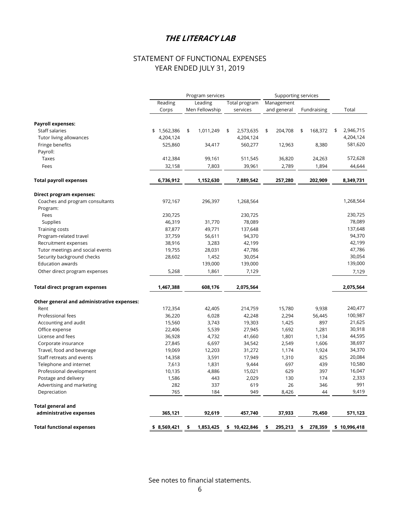# STATEMENT OF FUNCTIONAL EXPENSES YEAR ENDED JULY 31, 2019

|                                            | Program services<br>Supporting services |                 |                  |               |               |                 |
|--------------------------------------------|-----------------------------------------|-----------------|------------------|---------------|---------------|-----------------|
|                                            | Reading                                 | Leading         | Total program    | Management    |               |                 |
|                                            | Corps                                   | Men Fellowship  | services         | and general   | Fundraising   | Total           |
| <b>Payroll expenses:</b>                   |                                         |                 |                  |               |               |                 |
| Staff salaries                             | \$1,562,386                             | 1,011,249<br>\$ | \$<br>2,573,635  | 204,708<br>\$ | \$<br>168,372 | 2,946,715<br>\$ |
| Tutor living allowances                    | 4,204,124                               |                 | 4,204,124        |               |               | 4,204,124       |
| Fringe benefits                            | 525,860                                 | 34,417          | 560,277          | 12,963        | 8,380         | 581,620         |
| Payroll:                                   |                                         |                 |                  |               |               |                 |
| Taxes                                      | 412,384                                 | 99,161          | 511,545          | 36,820        | 24,263        | 572,628         |
| Fees                                       | 32,158                                  | 7,803           | 39,961           | 2,789         | 1,894         | 44,644          |
| <b>Total payroll expenses</b>              | 6,736,912                               | 1,152,630       | 7,889,542        | 257,280       | 202,909       | 8,349,731       |
| <b>Direct program expenses:</b>            |                                         |                 |                  |               |               |                 |
| Coaches and program consultants            | 972,167                                 | 296,397         | 1,268,564        |               |               | 1,268,564       |
| Program:                                   |                                         |                 |                  |               |               |                 |
| Fees                                       | 230,725                                 |                 | 230,725          |               |               | 230,725         |
| Supplies                                   | 46,319                                  | 31,770          | 78,089           |               |               | 78,089          |
| Training costs                             | 87,877                                  | 49,771          | 137,648          |               |               | 137,648         |
| Program-related travel                     | 37,759                                  | 56,611          | 94,370           |               |               | 94,370          |
| Recruitment expenses                       | 38,916                                  | 3,283           | 42,199           |               |               | 42,199          |
| Tutor meetings and social events           | 19,755                                  | 28,031          | 47,786           |               |               | 47,786          |
| Security background checks                 | 28,602                                  | 1,452           | 30,054           |               |               | 30,054          |
| <b>Education awards</b>                    |                                         | 139,000         | 139,000          |               |               | 139,000         |
| Other direct program expenses              | 5,268                                   | 1,861           | 7,129            |               |               | 7,129           |
| <b>Total direct program expenses</b>       | 1,467,388                               | 608,176         | 2,075,564        |               |               | 2,075,564       |
| Other general and administrative expenses: |                                         |                 |                  |               |               |                 |
| Rent                                       | 172,354                                 | 42,405          | 214,759          | 15,780        | 9,938         | 240,477         |
| Professional fees                          | 36,220                                  | 6,028           | 42,248           | 2,294         | 56,445        | 100,987         |
| Accounting and audit                       | 15,560                                  | 3,743           | 19,303           | 1,425         | 897           | 21,625          |
| Office expense                             | 22,406                                  | 5,539           | 27,945           | 1,692         | 1,281         | 30,918          |
| License and fees                           | 36,928                                  | 4,732           | 41,660           | 1,801         | 1,134         | 44,595          |
| Corporate insurance                        | 27,845                                  | 6,697           | 34,542           | 2,549         | 1,606         | 38,697          |
| Travel, food and beverage                  | 19,069                                  | 12,203          | 31,272           | 1,174         | 1,924         | 34,370          |
| Staff retreats and events                  | 14,358                                  | 3,591           | 17,949           | 1,310         | 825           | 20,084          |
| Telephone and internet                     | 7,613                                   | 1,831           | 9,444            | 697           | 439           | 10,580          |
| Professional development                   | 10,135                                  | 4,886           | 15,021           | 629           | 397           | 16,047          |
| Postage and delivery                       | 1,586                                   | 443             | 2,029            | 130           | 174           | 2,333           |
| Advertising and marketing                  | 282                                     | 337             | 619              | 26            | 346           | 991             |
| Depreciation                               | 765                                     | 184             | 949              | 8,426         | 44            | 9,419           |
| <b>Total general and</b>                   |                                         |                 |                  |               |               |                 |
| administrative expenses                    | 365,121                                 | 92,619          | 457,740          | 37,933        | 75,450        | 571,123         |
| <b>Total functional expenses</b>           | \$ 8,569,421                            | 1,853,425<br>\$ | 10,422,846<br>\$ | 295,213<br>\$ | 278,359<br>\$ | \$10,996,418    |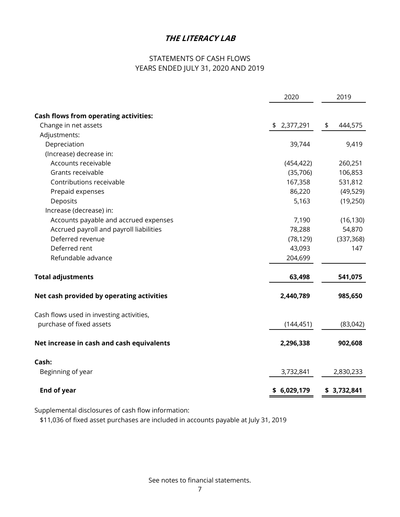# STATEMENTS OF CASH FLOWS YEARS ENDED JULY 31, 2020 AND 2019

|                                                | 2020         |    | 2019         |  |
|------------------------------------------------|--------------|----|--------------|--|
|                                                |              |    |              |  |
| <b>Cash flows from operating activities:</b>   |              |    |              |  |
| Change in net assets<br>Adjustments:           | \$2,377,291  | \$ | 444,575      |  |
| Depreciation                                   | 39,744       |    | 9,419        |  |
|                                                |              |    |              |  |
| (Increase) decrease in:<br>Accounts receivable |              |    |              |  |
|                                                | (454, 422)   |    | 260,251      |  |
| Grants receivable                              | (35,706)     |    | 106,853      |  |
| Contributions receivable                       | 167,358      |    | 531,812      |  |
| Prepaid expenses                               | 86,220       |    | (49, 529)    |  |
| Deposits                                       | 5,163        |    | (19,250)     |  |
| Increase (decrease) in:                        |              |    |              |  |
| Accounts payable and accrued expenses          | 7,190        |    | (16, 130)    |  |
| Accrued payroll and payroll liabilities        | 78,288       |    | 54,870       |  |
| Deferred revenue                               | (78, 129)    |    | (337, 368)   |  |
| Deferred rent                                  | 43,093       |    | 147          |  |
| Refundable advance                             | 204,699      |    |              |  |
| <b>Total adjustments</b>                       | 63,498       |    | 541,075      |  |
| Net cash provided by operating activities      | 2,440,789    |    | 985,650      |  |
| Cash flows used in investing activities,       |              |    |              |  |
| purchase of fixed assets                       | (144, 451)   |    | (83, 042)    |  |
| Net increase in cash and cash equivalents      | 2,296,338    |    | 902,608      |  |
| Cash:                                          |              |    |              |  |
| Beginning of year                              | 3,732,841    |    | 2,830,233    |  |
| <b>End of year</b>                             | \$ 6,029,179 |    | \$ 3,732,841 |  |

Supplemental disclosures of cash flow information:

\$11,036 of fixed asset purchases are included in accounts payable at July 31, 2019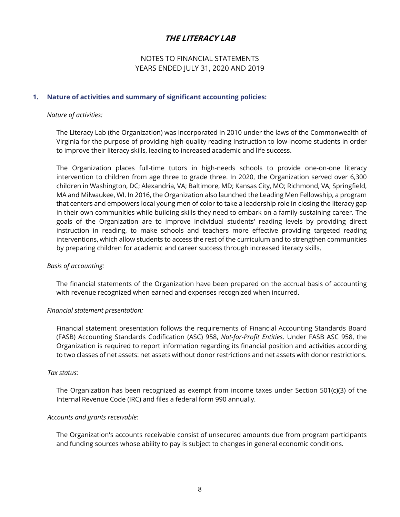## NOTES TO FINANCIAL STATEMENTS YEARS ENDED JULY 31, 2020 AND 2019

## **1. Nature of activities and summary of significant accounting policies:**

## *Nature of activities:*

 The Literacy Lab (the Organization) was incorporated in 2010 under the laws of the Commonwealth of Virginia for the purpose of providing high-quality reading instruction to low-income students in order to improve their literacy skills, leading to increased academic and life success.

 The Organization places full-time tutors in high-needs schools to provide one-on-one literacy intervention to children from age three to grade three. In 2020, the Organization served over 6,300 children in Washington, DC; Alexandria, VA; Baltimore, MD; Kansas City, MO; Richmond, VA; Springfield, MA and Milwaukee, WI. In 2016, the Organization also launched the Leading Men Fellowship, a program that centers and empowers local young men of color to take a leadership role in closing the literacy gap in their own communities while building skills they need to embark on a family-sustaining career. The goals of the Organization are to improve individual students' reading levels by providing direct instruction in reading, to make schools and teachers more effective providing targeted reading interventions, which allow students to access the rest of the curriculum and to strengthen communities by preparing children for academic and career success through increased literacy skills.

## *Basis of accounting:*

 The financial statements of the Organization have been prepared on the accrual basis of accounting with revenue recognized when earned and expenses recognized when incurred.

## *Financial statement presentation:*

 Financial statement presentation follows the requirements of Financial Accounting Standards Board (FASB) Accounting Standards Codification (ASC) 958, *Not-for-Profit Entities*. Under FASB ASC 958, the Organization is required to report information regarding its financial position and activities according to two classes of net assets: net assets without donor restrictions and net assets with donor restrictions.

#### *Tax status:*

 The Organization has been recognized as exempt from income taxes under Section 501(c)(3) of the Internal Revenue Code (IRC) and files a federal form 990 annually.

#### *Accounts and grants receivable:*

 The Organization's accounts receivable consist of unsecured amounts due from program participants and funding sources whose ability to pay is subject to changes in general economic conditions.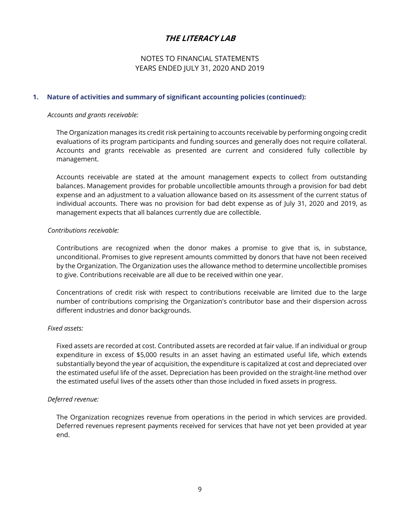## NOTES TO FINANCIAL STATEMENTS YEARS ENDED JULY 31, 2020 AND 2019

## **1. Nature of activities and summary of significant accounting policies (continued):**

## *Accounts and grants receivable:*

 The Organization manages its credit risk pertaining to accounts receivable by performing ongoing credit evaluations of its program participants and funding sources and generally does not require collateral. Accounts and grants receivable as presented are current and considered fully collectible by management.

 Accounts receivable are stated at the amount management expects to collect from outstanding balances. Management provides for probable uncollectible amounts through a provision for bad debt expense and an adjustment to a valuation allowance based on its assessment of the current status of individual accounts. There was no provision for bad debt expense as of July 31, 2020 and 2019, as management expects that all balances currently due are collectible.

## *Contributions receivable:*

 Contributions are recognized when the donor makes a promise to give that is, in substance, unconditional. Promises to give represent amounts committed by donors that have not been received by the Organization. The Organization uses the allowance method to determine uncollectible promises to give. Contributions receivable are all due to be received within one year.

 Concentrations of credit risk with respect to contributions receivable are limited due to the large number of contributions comprising the Organization's contributor base and their dispersion across different industries and donor backgrounds.

## *Fixed assets:*

 Fixed assets are recorded at cost. Contributed assets are recorded at fair value. If an individual or group expenditure in excess of \$5,000 results in an asset having an estimated useful life, which extends substantially beyond the year of acquisition, the expenditure is capitalized at cost and depreciated over the estimated useful life of the asset. Depreciation has been provided on the straight-line method over the estimated useful lives of the assets other than those included in fixed assets in progress.

## *Deferred revenue:*

 The Organization recognizes revenue from operations in the period in which services are provided. Deferred revenues represent payments received for services that have not yet been provided at year end.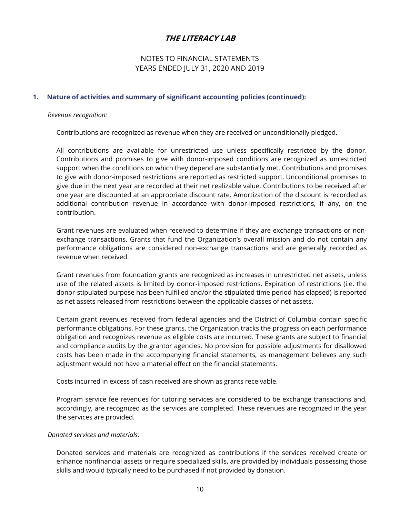## NOTES TO FINANCIAL STATEMENTS YEARS ENDED JULY 31, 2020 AND 2019

## **1. Nature of activities and summary of significant accounting policies (continued):**

#### *Revenue recognition:*

Contributions are recognized as revenue when they are received or unconditionally pledged.

 All contributions are available for unrestricted use unless specifically restricted by the donor. Contributions and promises to give with donor-imposed conditions are recognized as unrestricted support when the conditions on which they depend are substantially met. Contributions and promises to give with donor-imposed restrictions are reported as restricted support. Unconditional promises to give due in the next year are recorded at their net realizable value. Contributions to be received after one year are discounted at an appropriate discount rate. Amortization of the discount is recorded as additional contribution revenue in accordance with donor-imposed restrictions, if any, on the contribution.

 Grant revenues are evaluated when received to determine if they are exchange transactions or nonexchange transactions. Grants that fund the Organization's overall mission and do not contain any performance obligations are considered non-exchange transactions and are generally recorded as revenue when received.

 Grant revenues from foundation grants are recognized as increases in unrestricted net assets, unless use of the related assets is limited by donor-imposed restrictions. Expiration of restrictions (i.e. the donorstipulated purpose has been fulfilled and/or the stipulated time period has elapsed) is reported as net assets released from restrictions between the applicable classes of net assets.

Certain grant revenues received from federal agencies and the District of Columbia contain specific performance obligations. For these grants, the Organization tracks the progress on each performance obligation and recognizes revenue as eligible costs are incurred. These grants are subject to financial and compliance audits by the grantor agencies. No provision for possible adjustments for disallowed costs has been made in the accompanying financial statements, as management believes any such adjustment would not have a material effect on the financial statements.

Costs incurred in excess of cash received are shown as grants receivable.

 Program service fee revenues for tutoring services are considered to be exchange transactions and, accordingly, are recognized as the services are completed. These revenues are recognized in the year the services are provided.

## *Donated services and materials:*

 Donated services and materials are recognized as contributions if the services received create or enhance nonfinancial assets or require specialized skills, are provided by individuals possessing those skills and would typically need to be purchased if not provided by donation.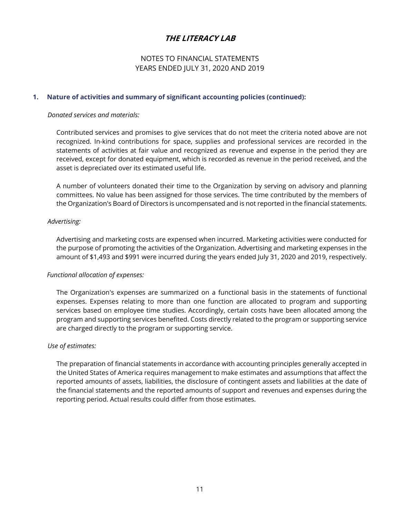## NOTES TO FINANCIAL STATEMENTS YEARS ENDED JULY 31, 2020 AND 2019

## **1. Nature of activities and summary of significant accounting policies (continued):**

## *Donated services and materials:*

 Contributed services and promises to give services that do not meet the criteria noted above are not recognized. In-kind contributions for space, supplies and professional services are recorded in the statements of activities at fair value and recognized as revenue and expense in the period they are received, except for donated equipment, which is recorded as revenue in the period received, and the asset is depreciated over its estimated useful life.

 A number of volunteers donated their time to the Organization by serving on advisory and planning committees. No value has been assigned for those services. The time contributed by the members of the Organization's Board of Directors is uncompensated and is not reported in the financial statements.

## *Advertising:*

 Advertising and marketing costs are expensed when incurred. Marketing activities were conducted for the purpose of promoting the activities of the Organization. Advertising and marketing expenses in the amount of \$1,493 and \$991 were incurred during the years ended July 31, 2020 and 2019, respectively.

## *Functional allocation of expenses:*

 The Organization's expenses are summarized on a functional basis in the statements of functional expenses. Expenses relating to more than one function are allocated to program and supporting services based on employee time studies. Accordingly, certain costs have been allocated among the program and supporting services benefited. Costs directly related to the program or supporting service are charged directly to the program or supporting service.

## *Use of estimates:*

 The preparation of financial statements in accordance with accounting principles generally accepted in the United States of America requires management to make estimates and assumptions that affect the reported amounts of assets, liabilities, the disclosure of contingent assets and liabilities at the date of the financial statements and the reported amounts of support and revenues and expenses during the reporting period. Actual results could differ from those estimates.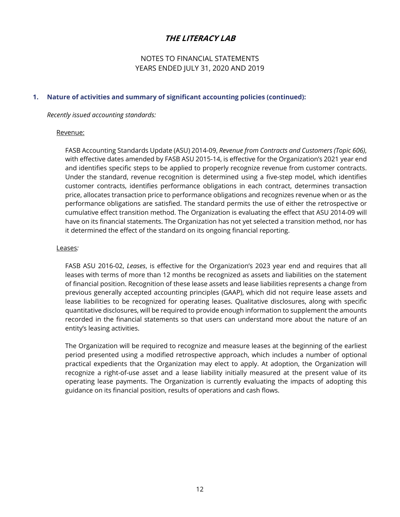## NOTES TO FINANCIAL STATEMENTS YEARS ENDED JULY 31, 2020 AND 2019

## **1. Nature of activities and summary of significant accounting policies (continued):**

 *Recently issued accounting standards:*

#### Revenue:

 FASB Accounting Standards Update (ASU) 2014-09, *Revenue from Contracts and Customers (Topic 606)*, with effective dates amended by FASB ASU 2015-14, is effective for the Organization's 2021 year end and identifies specific steps to be applied to properly recognize revenue from customer contracts. Under the standard, revenue recognition is determined using a five-step model, which identifies customer contracts, identifies performance obligations in each contract, determines transaction price, allocates transaction price to performance obligations and recognizes revenue when or as the performance obligations are satisfied. The standard permits the use of either the retrospective or cumulative effect transition method. The Organization is evaluating the effect that ASU 2014-09 will have on its financial statements. The Organization has not yet selected a transition method, nor has it determined the effect of the standard on its ongoing financial reporting.

#### Leases*:*

 FASB ASU 2016-02, *Leases*, is effective for the Organization's 2023 year end and requires that all leases with terms of more than 12 months be recognized as assets and liabilities on the statement of financial position. Recognition of these lease assets and lease liabilities represents a change from previous generally accepted accounting principles (GAAP), which did not require lease assets and lease liabilities to be recognized for operating leases. Qualitative disclosures, along with specific quantitative disclosures, will be required to provide enough information to supplement the amounts recorded in the financial statements so that users can understand more about the nature of an entity's leasing activities.

 The Organization will be required to recognize and measure leases at the beginning of the earliest period presented using a modified retrospective approach, which includes a number of optional practical expedients that the Organization may elect to apply. At adoption, the Organization will recognize a right-of-use asset and a lease liability initially measured at the present value of its operating lease payments. The Organization is currently evaluating the impacts of adopting this guidance on its financial position, results of operations and cash flows.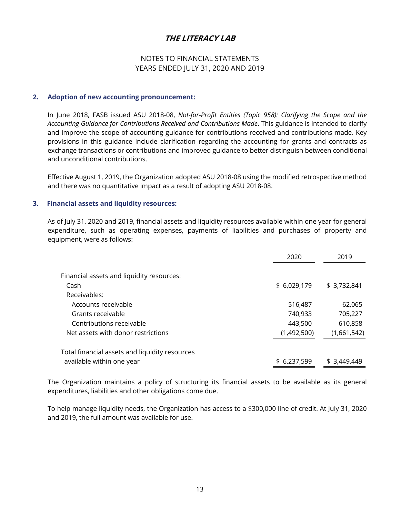## NOTES TO FINANCIAL STATEMENTS YEARS ENDED JULY 31, 2020 AND 2019

## **2. Adoption of new accounting pronouncement:**

In June 2018, FASB issued ASU 2018-08, *Not-for-Profit Entities (Topic 958): Clarifying the Scope and the Accounting Guidance for Contributions Received and Contributions Made*. This guidance is intended to clarify and improve the scope of accounting guidance for contributions received and contributions made. Key provisions in this guidance include clarification regarding the accounting for grants and contracts as exchange transactions or contributions and improved guidance to better distinguish between conditional and unconditional contributions.

Effective August 1, 2019, the Organization adopted ASU 2018-08 using the modified retrospective method and there was no quantitative impact as a result of adopting ASU 2018-08.

#### **3. Financial assets and liquidity resources:**

As of July 31, 2020 and 2019, financial assets and liquidity resources available within one year for general expenditure, such as operating expenses, payments of liabilities and purchases of property and equipment, were as follows:

|                                                   | 2020        | 2019         |
|---------------------------------------------------|-------------|--------------|
| Financial assets and liquidity resources:<br>Cash | \$6,029,179 | \$ 3,732,841 |
| Receivables:                                      |             |              |
| Accounts receivable                               | 516,487     | 62,065       |
| Grants receivable                                 | 740,933     | 705,227      |
| Contributions receivable                          | 443,500     | 610,858      |
| Net assets with donor restrictions                | (1,492,500) | (1,661,542)  |
| Total financial assets and liquidity resources    |             |              |
| available within one year                         | \$6,237,599 | \$ 3,449,449 |

The Organization maintains a policy of structuring its financial assets to be available as its general expenditures, liabilities and other obligations come due.

To help manage liquidity needs, the Organization has access to a \$300,000 line of credit. At July 31, 2020 and 2019, the full amount was available for use.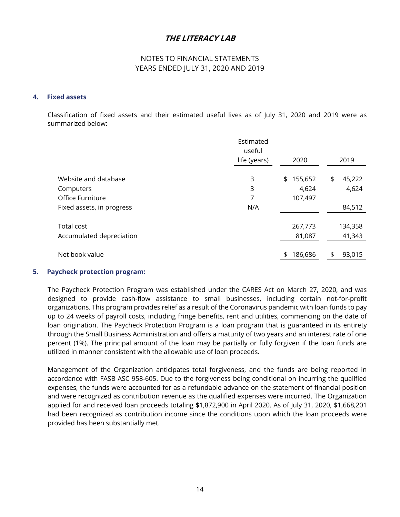## NOTES TO FINANCIAL STATEMENTS YEARS ENDED JULY 31, 2020 AND 2019

#### **4. Fixed assets**

Classification of fixed assets and their estimated useful lives as of July 31, 2020 and 2019 were as summarized below:

|                           | Estimated<br>useful |               |              |
|---------------------------|---------------------|---------------|--------------|
|                           | life (years)        | 2020          | 2019         |
| Website and database      | 3                   | 155,652<br>\$ | \$<br>45,222 |
| Computers                 | 3                   | 4,624         | 4,624        |
| Office Furniture          | 7                   | 107,497       |              |
| Fixed assets, in progress | N/A                 |               | 84,512       |
|                           |                     |               |              |
| Total cost                |                     | 267,773       | 134,358      |
| Accumulated depreciation  |                     | 81,087        | 41,343       |
|                           |                     |               |              |
| Net book value            |                     | 186,686<br>\$ | \$<br>93,015 |

## **5. Paycheck protection program:**

The Paycheck Protection Program was established under the CARES Act on March 27, 2020, and was designed to provide cash-flow assistance to small businesses, including certain not-for-profit organizations. This program provides relief as a result of the Coronavirus pandemic with loan funds to pay up to 24 weeks of payroll costs, including fringe benefits, rent and utilities, commencing on the date of loan origination. The Paycheck Protection Program is a loan program that is guaranteed in its entirety through the Small Business Administration and offers a maturity of two years and an interest rate of one percent (1%). The principal amount of the loan may be partially or fully forgiven if the loan funds are utilized in manner consistent with the allowable use of loan proceeds.

Management of the Organization anticipates total forgiveness, and the funds are being reported in accordance with FASB ASC 958-605. Due to the forgiveness being conditional on incurring the qualified expenses, the funds were accounted for as a refundable advance on the statement of financial position and were recognized as contribution revenue as the qualified expenses were incurred. The Organization applied for and received loan proceeds totaling \$1,872,900 in April 2020. As of July 31, 2020, \$1,668,201 had been recognized as contribution income since the conditions upon which the loan proceeds were provided has been substantially met.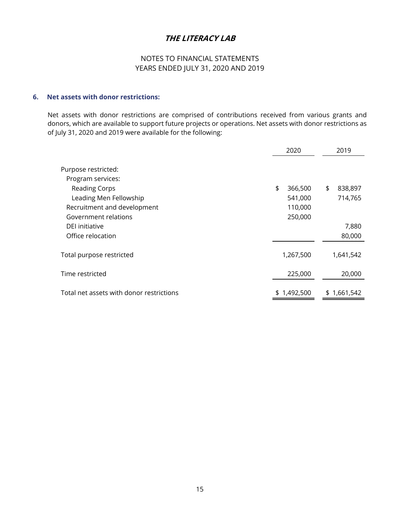## NOTES TO FINANCIAL STATEMENTS YEARS ENDED JULY 31, 2020 AND 2019

## **6. Net assets with donor restrictions:**

Net assets with donor restrictions are comprised of contributions received from various grants and donors, which are available to support future projects or operations. Net assets with donor restrictions as of July 31, 2020 and 2019 were available for the following:

|                                          | 2020 |             | 2019          |
|------------------------------------------|------|-------------|---------------|
| Purpose restricted:                      |      |             |               |
| Program services:                        |      |             |               |
| <b>Reading Corps</b>                     | \$   | 366,500     | \$<br>838,897 |
| Leading Men Fellowship                   |      | 541,000     | 714,765       |
| Recruitment and development              |      | 110,000     |               |
| Government relations                     |      | 250,000     |               |
| DEI initiative                           |      |             | 7,880         |
| Office relocation                        |      |             | 80,000        |
| Total purpose restricted                 |      | 1,267,500   | 1,641,542     |
| Time restricted                          |      | 225,000     | 20,000        |
| Total net assets with donor restrictions |      | \$1,492,500 | \$1,661,542   |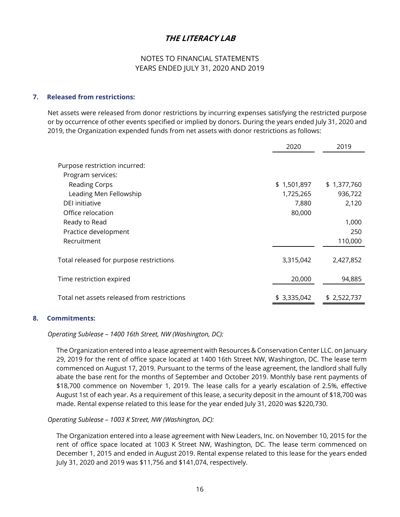## NOTES TO FINANCIAL STATEMENTS YEARS ENDED JULY 31, 2020 AND 2019

## **7. Released from restrictions:**

Net assets were released from donor restrictions by incurring expenses satisfying the restricted purpose or by occurrence of other events specified or implied by donors. During the years ended July 31, 2020 and 2019, the Organization expended funds from net assets with donor restrictions as follows:

|                                             | 2020        | 2019        |
|---------------------------------------------|-------------|-------------|
| Purpose restriction incurred:               |             |             |
| Program services:                           |             |             |
| <b>Reading Corps</b>                        | \$1,501,897 | \$1,377,760 |
| Leading Men Fellowship                      | 1,725,265   | 936,722     |
| DEI initiative                              | 7,880       | 2,120       |
| Office relocation                           | 80,000      |             |
| Ready to Read                               |             | 1,000       |
| Practice development                        |             | 250         |
| Recruitment                                 |             | 110,000     |
| Total released for purpose restrictions     | 3,315,042   | 2,427,852   |
|                                             |             |             |
| Time restriction expired                    | 20,000      | 94,885      |
| Total net assets released from restrictions | \$3,335,042 | \$2,522,737 |

## **8. Commitments:**

*Operating Sublease – 1400 16th Street, NW (Washington, DC):* 

The Organization entered into a lease agreement with Resources & Conservation Center LLC. on January 29, 2019 for the rent of office space located at 1400 16th Street NW, Washington, DC. The lease term commenced on August 17, 2019. Pursuant to the terms of the lease agreement, the landlord shall fully abate the base rent for the months of September and October 2019. Monthly base rent payments of \$18,700 commence on November 1, 2019. The lease calls for a yearly escalation of 2.5%, effective August 1st of each year. As a requirement of this lease, a security deposit in the amount of \$18,700 was made. Rental expense related to this lease for the year ended July 31, 2020 was \$220,730.

## *Operating Sublease – 1003 K Street, NW (Washington, DC):*

The Organization entered into a lease agreement with New Leaders, Inc. on November 10, 2015 for the rent of office space located at 1003 K Street NW, Washington, DC. The lease term commenced on December 1, 2015 and ended in August 2019. Rental expense related to this lease for the years ended July 31, 2020 and 2019 was \$11,756 and \$141,074, respectively.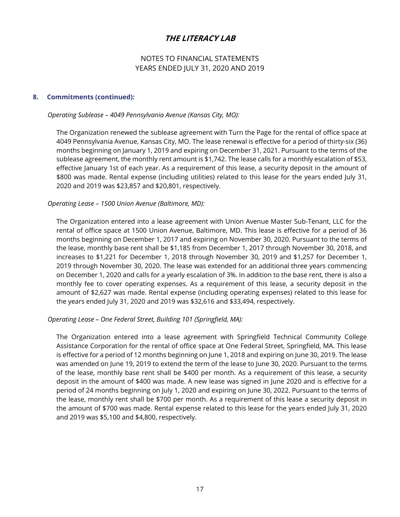## NOTES TO FINANCIAL STATEMENTS YEARS ENDED JULY 31, 2020 AND 2019

## **8. Commitments (continued):**

#### *Operating Sublease – 4049 Pennsylvania Avenue (Kansas City, MO):*

The Organization renewed the sublease agreement with Turn the Page for the rental of office space at 4049 Pennsylvania Avenue, Kansas City, MO. The lease renewal is effective for a period of thirty-six (36) months beginning on January 1, 2019 and expiring on December 31, 2021. Pursuant to the terms of the sublease agreement, the monthly rent amount is \$1,742. The lease calls for a monthly escalation of \$53, effective January 1st of each year. As a requirement of this lease, a security deposit in the amount of \$800 was made. Rental expense (including utilities) related to this lease for the years ended July 31, 2020 and 2019 was \$23,857 and \$20,801, respectively.

#### *Operating Lease – 1500 Union Avenue (Baltimore, MD):*

The Organization entered into a lease agreement with Union Avenue Master Sub-Tenant, LLC for the rental of office space at 1500 Union Avenue, Baltimore, MD. This lease is effective for a period of 36 months beginning on December 1, 2017 and expiring on November 30, 2020. Pursuant to the terms of the lease, monthly base rent shall be \$1,185 from December 1, 2017 through November 30, 2018, and increases to \$1,221 for December 1, 2018 through November 30, 2019 and \$1,257 for December 1, 2019 through November 30, 2020. The lease was extended for an additional three years commencing on December 1, 2020 and calls for a yearly escalation of 3%. In addition to the base rent, there is also a monthly fee to cover operating expenses. As a requirement of this lease, a security deposit in the amount of \$2,627 was made. Rental expense (including operating expenses) related to this lease for the years ended July 31, 2020 and 2019 was \$32,616 and \$33,494, respectively.

## *Operating Lease – One Federal Street, Building 101 (Springfield, MA):*

The Organization entered into a lease agreement with Springfield Technical Community College Assistance Corporation for the rental of office space at One Federal Street, Springfield, MA. This lease is effective for a period of 12 months beginning on June 1, 2018 and expiring on June 30, 2019. The lease was amended on June 19, 2019 to extend the term of the lease to June 30, 2020. Pursuant to the terms of the lease, monthly base rent shall be \$400 per month. As a requirement of this lease, a security deposit in the amount of \$400 was made. A new lease was signed in June 2020 and is effective for a period of 24 months beginning on July 1, 2020 and expiring on June 30, 2022. Pursuant to the terms of the lease, monthly rent shall be \$700 per month. As a requirement of this lease a security deposit in the amount of \$700 was made. Rental expense related to this lease for the years ended July 31, 2020 and 2019 was \$5,100 and \$4,800, respectively.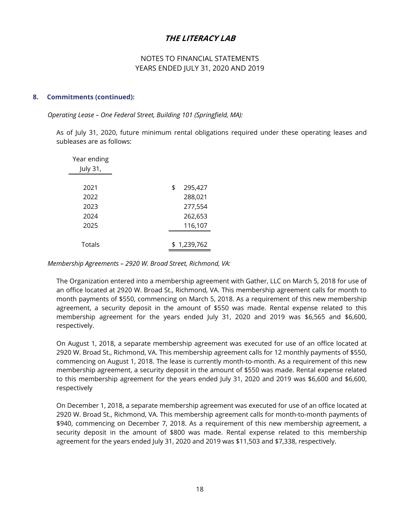## NOTES TO FINANCIAL STATEMENTS YEARS ENDED JULY 31, 2020 AND 2019

## **8. Commitments (continued):**

*Operating Lease – One Federal Street, Building 101 (Springfield, MA):* 

As of July 31, 2020, future minimum rental obligations required under these operating leases and subleases are as follows:

| Year ending<br>July 31, |    |             |
|-------------------------|----|-------------|
| 2021                    | \$ | 295,427     |
| 2022                    |    | 288,021     |
| 2023                    |    | 277,554     |
| 2024                    |    | 262,653     |
| 2025                    |    | 116,107     |
| Totals                  |    | \$1,239,762 |

## *Membership Agreements – 2920 W. Broad Street, Richmond, VA:*

The Organization entered into a membership agreement with Gather, LLC on March 5, 2018 for use of an office located at 2920 W. Broad St., Richmond, VA. This membership agreement calls for month to month payments of \$550, commencing on March 5, 2018. As a requirement of this new membership agreement, a security deposit in the amount of \$550 was made. Rental expense related to this membership agreement for the years ended July 31, 2020 and 2019 was \$6,565 and \$6,600, respectively.

On August 1, 2018, a separate membership agreement was executed for use of an office located at 2920 W. Broad St., Richmond, VA. This membership agreement calls for 12 monthly payments of \$550, commencing on August 1, 2018. The lease is currently month-to-month. As a requirement of this new membership agreement, a security deposit in the amount of \$550 was made. Rental expense related to this membership agreement for the years ended July 31, 2020 and 2019 was \$6,600 and \$6,600, respectively

On December 1, 2018, a separate membership agreement was executed for use of an office located at 2920 W. Broad St., Richmond, VA. This membership agreement calls for month-to-month payments of \$940, commencing on December 7, 2018. As a requirement of this new membership agreement, a security deposit in the amount of \$800 was made. Rental expense related to this membership agreement for the years ended July 31, 2020 and 2019 was \$11,503 and \$7,338, respectively.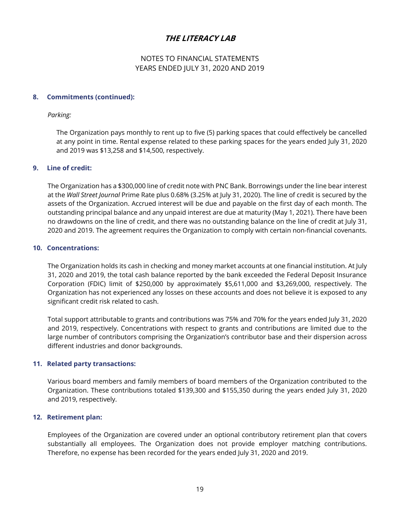## NOTES TO FINANCIAL STATEMENTS YEARS ENDED JULY 31, 2020 AND 2019

## **8. Commitments (continued):**

#### *Parking:*

The Organization pays monthly to rent up to five (5) parking spaces that could effectively be cancelled at any point in time. Rental expense related to these parking spaces for the years ended July 31, 2020 and 2019 was \$13,258 and \$14,500, respectively.

#### **9. Line of credit:**

 The Organization has a \$300,000 line of credit note with PNC Bank. Borrowings under the line bear interest at the *Wall Street Journal* Prime Rate plus 0.68% (3.25% at July 31, 2020). The line of credit is secured by the assets of the Organization. Accrued interest will be due and payable on the first day of each month. The outstanding principal balance and any unpaid interest are due at maturity (May 1, 2021). There have been no drawdowns on the line of credit, and there was no outstanding balance on the line of credit at July 31, 2020 and 2019. The agreement requires the Organization to comply with certain non-financial covenants.

#### **10. Concentrations:**

 The Organization holds its cash in checking and money market accounts at one financial institution. At July 31, 2020 and 2019, the total cash balance reported by the bank exceeded the Federal Deposit Insurance Corporation (FDIC) limit of \$250,000 by approximately \$5,611,000 and \$3,269,000, respectively. The Organization has not experienced any losses on these accounts and does not believe it is exposed to any significant credit risk related to cash.

 Total support attributable to grants and contributions was 75% and 70% for the years ended July 31, 2020 and 2019, respectively. Concentrations with respect to grants and contributions are limited due to the large number of contributors comprising the Organization's contributor base and their dispersion across different industries and donor backgrounds.

## **11. Related party transactions:**

 Various board members and family members of board members of the Organization contributed to the Organization. These contributions totaled \$139,300 and \$155,350 during the years ended July 31, 2020 and 2019, respectively.

## **12. Retirement plan:**

 Employees of the Organization are covered under an optional contributory retirement plan that covers substantially all employees. The Organization does not provide employer matching contributions. Therefore, no expense has been recorded for the years ended July 31, 2020 and 2019.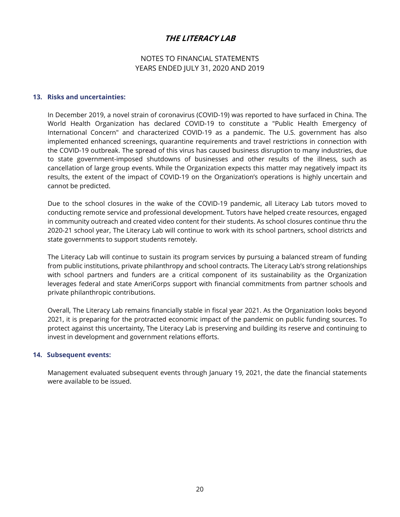## NOTES TO FINANCIAL STATEMENTS YEARS ENDED JULY 31, 2020 AND 2019

## **13. Risks and uncertainties:**

In December 2019, a novel strain of coronavirus (COVID-19) was reported to have surfaced in China. The World Health Organization has declared COVID-19 to constitute a "Public Health Emergency of International Concern" and characterized COVID-19 as a pandemic. The U.S. government has also implemented enhanced screenings, quarantine requirements and travel restrictions in connection with the COVID-19 outbreak. The spread of this virus has caused business disruption to many industries, due to state government-imposed shutdowns of businesses and other results of the illness, such as cancellation of large group events. While the Organization expects this matter may negatively impact its results, the extent of the impact of COVID-19 on the Organization's operations is highly uncertain and cannot be predicted.

Due to the school closures in the wake of the COVID-19 pandemic, all Literacy Lab tutors moved to conducting remote service and professional development. Tutors have helped create resources, engaged in community outreach and created video content for their students. As school closures continue thru the 2020-21 school year, The Literacy Lab will continue to work with its school partners, school districts and state governments to support students remotely.

The Literacy Lab will continue to sustain its program services by pursuing a balanced stream of funding from public institutions, private philanthropy and school contracts. The Literacy Lab's strong relationships with school partners and funders are a critical component of its sustainability as the Organization leverages federal and state AmeriCorps support with financial commitments from partner schools and private philanthropic contributions.

Overall, The Literacy Lab remains financially stable in fiscal year 2021. As the Organization looks beyond 2021, it is preparing for the protracted economic impact of the pandemic on public funding sources. To protect against this uncertainty, The Literacy Lab is preserving and building its reserve and continuing to invest in development and government relations efforts.

#### **14. Subsequent events:**

 Management evaluated subsequent events through January 19, 2021, the date the financial statements were available to be issued.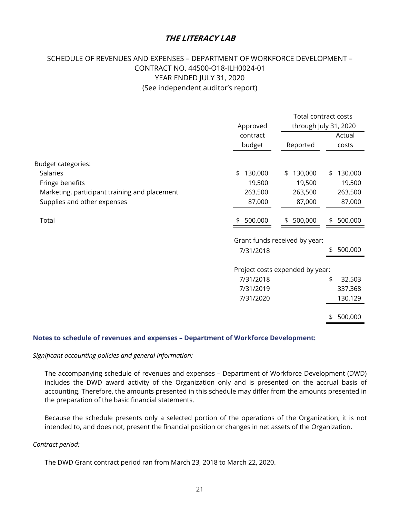# SCHEDULE OF REVENUES AND EXPENSES – DEPARTMENT OF WORKFORCE DEVELOPMENT – CONTRACT NO. 44500-O18-ILH0024-01 YEAR ENDED JULY 31, 2020 (See independent auditor's report)

|                                               | Approved      | Total contract costs            | through July 31, 2020 |  |
|-----------------------------------------------|---------------|---------------------------------|-----------------------|--|
|                                               | contract      |                                 | Actual                |  |
|                                               | budget        | Reported                        | costs                 |  |
| <b>Budget categories:</b>                     |               |                                 |                       |  |
| <b>Salaries</b>                               | 130,000<br>\$ | 130,000<br>\$                   | 130,000<br>\$         |  |
| Fringe benefits                               | 19,500        | 19,500                          | 19,500                |  |
| Marketing, participant training and placement | 263,500       | 263,500                         | 263,500               |  |
| Supplies and other expenses                   | 87,000        | 87,000                          | 87,000                |  |
| Total                                         | 500,000<br>\$ | 500,000<br>\$                   | 500,000<br>\$         |  |
|                                               |               | Grant funds received by year:   |                       |  |
|                                               | 7/31/2018     |                                 | 500,000<br>£          |  |
|                                               |               | Project costs expended by year: |                       |  |
|                                               | 7/31/2018     |                                 | \$<br>32,503          |  |
|                                               | 7/31/2019     |                                 | 337,368               |  |
|                                               | 7/31/2020     |                                 | 130,129               |  |
|                                               |               |                                 | 500,000<br>\$         |  |

## **Notes to schedule of revenues and expenses – Department of Workforce Development:**

#### *Significant accounting policies and general information:*

 The accompanying schedule of revenues and expenses – Department of Workforce Development (DWD) includes the DWD award activity of the Organization only and is presented on the accrual basis of accounting. Therefore, the amounts presented in this schedule may differ from the amounts presented in the preparation of the basic financial statements.

 Because the schedule presents only a selected portion of the operations of the Organization, it is not intended to, and does not, present the financial position or changes in net assets of the Organization.

#### *Contract period:*

The DWD Grant contract period ran from March 23, 2018 to March 22, 2020.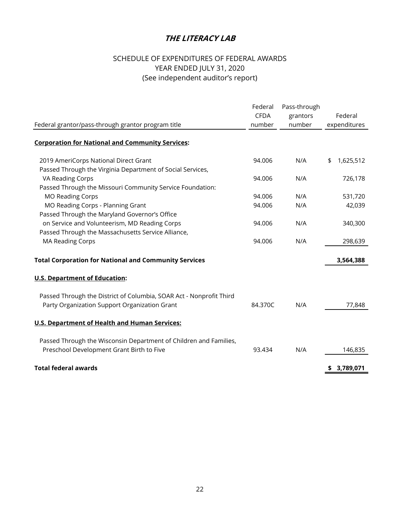# SCHEDULE OF EXPENDITURES OF FEDERAL AWARDS YEAR ENDED JULY 31, 2020 (See independent auditor's report)

|                                                                     | Federal     | Pass-through |                 |  |
|---------------------------------------------------------------------|-------------|--------------|-----------------|--|
|                                                                     | <b>CFDA</b> | grantors     | Federal         |  |
| Federal grantor/pass-through grantor program title                  | number      | number       | expenditures    |  |
|                                                                     |             |              |                 |  |
| <b>Corporation for National and Community Services:</b>             |             |              |                 |  |
| 2019 AmeriCorps National Direct Grant                               | 94.006      | N/A          | 1,625,512<br>\$ |  |
| Passed Through the Virginia Department of Social Services,          |             |              |                 |  |
| VA Reading Corps                                                    | 94.006      | N/A          | 726,178         |  |
| Passed Through the Missouri Community Service Foundation:           |             |              |                 |  |
| <b>MO Reading Corps</b>                                             | 94.006      | N/A          | 531,720         |  |
| MO Reading Corps - Planning Grant                                   | 94.006      | N/A          | 42,039          |  |
| Passed Through the Maryland Governor's Office                       |             |              |                 |  |
| on Service and Volunteerism, MD Reading Corps                       | 94.006      | N/A          | 340,300         |  |
| Passed Through the Massachusetts Service Alliance,                  |             |              |                 |  |
| <b>MA Reading Corps</b>                                             | 94.006      | N/A          | 298,639         |  |
| <b>Total Corporation for National and Community Services</b>        |             |              | 3,564,388       |  |
|                                                                     |             |              |                 |  |
| <b>U.S. Department of Education:</b>                                |             |              |                 |  |
| Passed Through the District of Columbia, SOAR Act - Nonprofit Third |             |              |                 |  |
| Party Organization Support Organization Grant                       | 84.370C     | N/A          | 77,848          |  |
| <b>U.S. Department of Health and Human Services:</b>                |             |              |                 |  |
| Passed Through the Wisconsin Department of Children and Families,   |             |              |                 |  |
| Preschool Development Grant Birth to Five                           | 93.434      | N/A          | 146,835         |  |
| <b>Total federal awards</b>                                         |             |              | 3,789,071       |  |
|                                                                     |             |              |                 |  |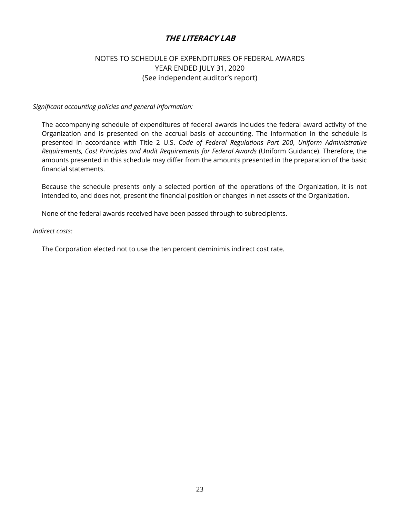## NOTES TO SCHEDULE OF EXPENDITURES OF FEDERAL AWARDS YEAR ENDED JULY 31, 2020 (See independent auditor's report)

#### *Significant accounting policies and general information:*

The accompanying schedule of expenditures of federal awards includes the federal award activity of the Organization and is presented on the accrual basis of accounting. The information in the schedule is presented in accordance with Title 2 U.S. *Code of Federal Regulations Part 200*, *Uniform Administrative Requirements, Cost Principles and Audit Requirements for Federal Awards* (Uniform Guidance). Therefore, the amounts presented in this schedule may differ from the amounts presented in the preparation of the basic financial statements.

Because the schedule presents only a selected portion of the operations of the Organization, it is not intended to, and does not, present the financial position or changes in net assets of the Organization.

None of the federal awards received have been passed through to subrecipients.

#### *Indirect costs:*

The Corporation elected not to use the ten percent deminimis indirect cost rate.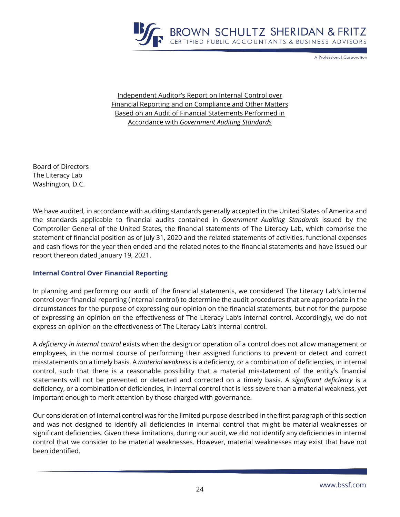

A Professional Corporation

Independent Auditor's Report on Internal Control over Financial Reporting and on Compliance and Other Matters Based on an Audit of Financial Statements Performed in Accordance with *Government Auditing Standards* 

Board of Directors The Literacy Lab Washington, D.C.

We have audited, in accordance with auditing standards generally accepted in the United States of America and the standards applicable to financial audits contained in *Government Auditing Standards* issued by the Comptroller General of the United States, the financial statements of The Literacy Lab, which comprise the statement of financial position as of July 31, 2020 and the related statements of activities, functional expenses and cash flows for the year then ended and the related notes to the financial statements and have issued our report thereon dated January 19, 2021.

## **Internal Control Over Financial Reporting**

In planning and performing our audit of the financial statements, we considered The Literacy Lab's internal control over financial reporting (internal control) to determine the audit procedures that are appropriate in the circumstances for the purpose of expressing our opinion on the financial statements, but not for the purpose of expressing an opinion on the effectiveness of The Literacy Lab's internal control. Accordingly, we do not express an opinion on the effectiveness of The Literacy Lab's internal control.

A *deficiency in internal control* exists when the design or operation of a control does not allow management or employees, in the normal course of performing their assigned functions to prevent or detect and correct misstatements on a timely basis. A *material weakness* is a deficiency, or a combination of deficiencies, in internal control, such that there is a reasonable possibility that a material misstatement of the entity's financial statements will not be prevented or detected and corrected on a timely basis. A *significant deficiency* is a deficiency, or a combination of deficiencies, in internal control that is less severe than a material weakness, yet important enough to merit attention by those charged with governance.

Our consideration of internal control was for the limited purpose described in the first paragraph of this section and was not designed to identify all deficiencies in internal control that might be material weaknesses or significant deficiencies. Given these limitations, during our audit, we did not identify any deficiencies in internal control that we consider to be material weaknesses. However, material weaknesses may exist that have not been identified.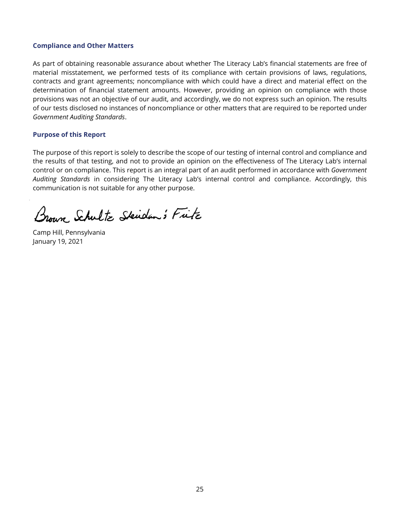#### **Compliance and Other Matters**

As part of obtaining reasonable assurance about whether The Literacy Lab's financial statements are free of material misstatement, we performed tests of its compliance with certain provisions of laws, regulations, contracts and grant agreements; noncompliance with which could have a direct and material effect on the determination of financial statement amounts. However, providing an opinion on compliance with those provisions was not an objective of our audit, and accordingly, we do not express such an opinion. The results of our tests disclosed no instances of noncompliance or other matters that are required to be reported under *Government Auditing Standards*.

## **Purpose of this Report**

The purpose of this report is solely to describe the scope of our testing of internal control and compliance and the results of that testing, and not to provide an opinion on the effectiveness of The Literacy Lab's internal control or on compliance. This report is an integral part of an audit performed in accordance with *Government Auditing Standards* in considering The Literacy Lab's internal control and compliance. Accordingly, this communication is not suitable for any other purpose.

Brown Schultz Skidan's Fitz

Camp Hill, Pennsylvania January 19, 2021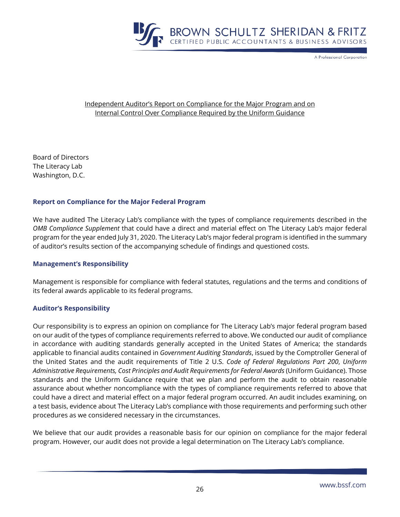

A Professional Corporation

## Independent Auditor's Report on Compliance for the Major Program and on Internal Control Over Compliance Required by the Uniform Guidance

Board of Directors The Literacy Lab Washington, D.C.

## **Report on Compliance for the Major Federal Program**

We have audited The Literacy Lab's compliance with the types of compliance requirements described in the *OMB Compliance Supplement* that could have a direct and material effect on The Literacy Lab's major federal program for the year ended July 31, 2020. The Literacy Lab's major federal program is identified in the summary of auditor's results section of the accompanying schedule of findings and questioned costs.

## **Management's Responsibility**

Management is responsible for compliance with federal statutes, regulations and the terms and conditions of its federal awards applicable to its federal programs.

## **Auditor's Responsibility**

Our responsibility is to express an opinion on compliance for The Literacy Lab's major federal program based on our audit of the types of compliance requirements referred to above. We conducted our audit of compliance in accordance with auditing standards generally accepted in the United States of America; the standards applicable to financial audits contained in *Government Auditing Standards*, issued by the Comptroller General of the United States and the audit requirements of Title 2 U.S. *Code of Federal Regulations Part 200*, *Uniform Administrative Requirements, Cost Principles and Audit Requirements for Federal Awards* (Uniform Guidance). Those standards and the Uniform Guidance require that we plan and perform the audit to obtain reasonable assurance about whether noncompliance with the types of compliance requirements referred to above that could have a direct and material effect on a major federal program occurred. An audit includes examining, on a test basis, evidence about The Literacy Lab's compliance with those requirements and performing such other procedures as we considered necessary in the circumstances.

We believe that our audit provides a reasonable basis for our opinion on compliance for the major federal program. However, our audit does not provide a legal determination on The Literacy Lab's compliance.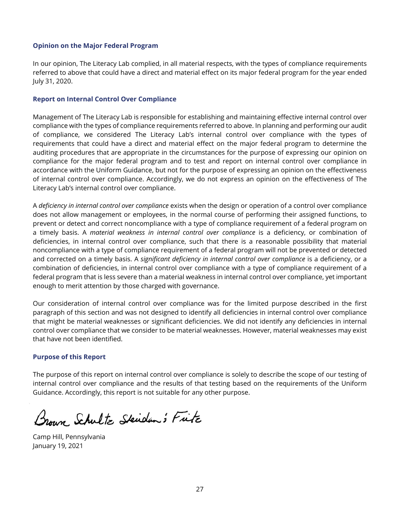## **Opinion on the Major Federal Program**

In our opinion, The Literacy Lab complied, in all material respects, with the types of compliance requirements referred to above that could have a direct and material effect on its major federal program for the year ended July 31, 2020.

## **Report on Internal Control Over Compliance**

Management of The Literacy Lab is responsible for establishing and maintaining effective internal control over compliance with the types of compliance requirements referred to above. In planning and performing our audit of compliance, we considered The Literacy Lab's internal control over compliance with the types of requirements that could have a direct and material effect on the major federal program to determine the auditing procedures that are appropriate in the circumstances for the purpose of expressing our opinion on compliance for the major federal program and to test and report on internal control over compliance in accordance with the Uniform Guidance, but not for the purpose of expressing an opinion on the effectiveness of internal control over compliance. Accordingly, we do not express an opinion on the effectiveness of The Literacy Lab's internal control over compliance.

A *deficiency in internal control over compliance* exists when the design or operation of a control over compliance does not allow management or employees, in the normal course of performing their assigned functions, to prevent or detect and correct noncompliance with a type of compliance requirement of a federal program on a timely basis. A *material weakness in internal control over compliance* is a deficiency, or combination of deficiencies, in internal control over compliance, such that there is a reasonable possibility that material noncompliance with a type of compliance requirement of a federal program will not be prevented or detected and corrected on a timely basis. A *significant deficiency in internal control over compliance* is a deficiency, or a combination of deficiencies, in internal control over compliance with a type of compliance requirement of a federal program that is less severe than a material weakness in internal control over compliance, yet important enough to merit attention by those charged with governance.

Our consideration of internal control over compliance was for the limited purpose described in the first paragraph of this section and was not designed to identify all deficiencies in internal control over compliance that might be material weaknesses or significant deficiencies. We did not identify any deficiencies in internal control over compliance that we consider to be material weaknesses. However, material weaknesses may exist that have not been identified.

## **Purpose of this Report**

The purpose of this report on internal control over compliance is solely to describe the scope of our testing of internal control over compliance and the results of that testing based on the requirements of the Uniform Guidance. Accordingly, this report is not suitable for any other purpose.

Brown Schultz Skidan's Fitz

Camp Hill, Pennsylvania January 19, 2021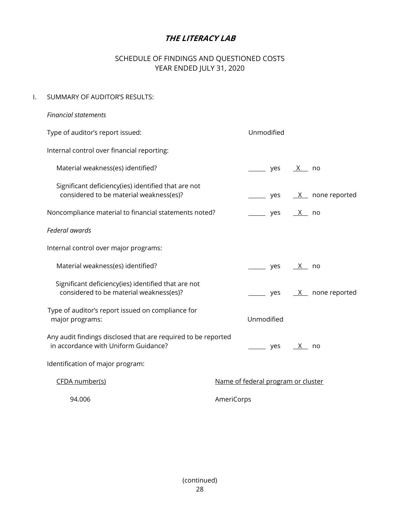# SCHEDULE OF FINDINGS AND QUESTIONED COSTS YEAR ENDED JULY 31, 2020

## I. SUMMARY OF AUDITOR'S RESULTS:

| <b>Financial statements</b>                                                                           |            |                                    |              |                   |  |  |
|-------------------------------------------------------------------------------------------------------|------------|------------------------------------|--------------|-------------------|--|--|
| Type of auditor's report issued:                                                                      |            | Unmodified                         |              |                   |  |  |
| Internal control over financial reporting:                                                            |            |                                    |              |                   |  |  |
| Material weakness(es) identified?                                                                     |            | yes                                | x no         |                   |  |  |
| Significant deficiency(ies) identified that are not<br>considered to be material weakness(es)?        |            | yes                                |              | $X$ none reported |  |  |
| Noncompliance material to financial statements noted?                                                 |            | yes                                | $X$ no       |                   |  |  |
| Federal awards                                                                                        |            |                                    |              |                   |  |  |
| Internal control over major programs:                                                                 |            |                                    |              |                   |  |  |
| Material weakness(es) identified?                                                                     |            | yes                                | $\mathsf{X}$ | no                |  |  |
| Significant deficiency(ies) identified that are not<br>considered to be material weakness(es)?        |            | $\rule{1em}{0.15mm}$ yes           |              | $X$ none reported |  |  |
| Type of auditor's report issued on compliance for<br>major programs:                                  |            | Unmodified                         |              |                   |  |  |
| Any audit findings disclosed that are required to be reported<br>in accordance with Uniform Guidance? |            | yes                                | <u>X</u> no  |                   |  |  |
| Identification of major program:                                                                      |            |                                    |              |                   |  |  |
| CFDA number(s)                                                                                        |            | Name of federal program or cluster |              |                   |  |  |
| 94.006                                                                                                | AmeriCorps |                                    |              |                   |  |  |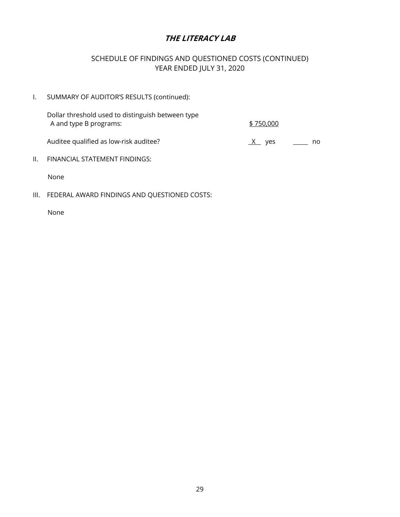# SCHEDULE OF FINDINGS AND QUESTIONED COSTS (CONTINUED) YEAR ENDED JULY 31, 2020

## I. SUMMARY OF AUDITOR'S RESULTS (continued):

 Dollar threshold used to distinguish between type A and type B programs:  $\frac{$ 750,000}{2}$ 

Auditee qualified as low-risk auditee?  $\frac{X}{Y}$  yes  $\frac{X}{Y}$  no

II. FINANCIAL STATEMENT FINDINGS:

None

III. FEDERAL AWARD FINDINGS AND QUESTIONED COSTS:

None